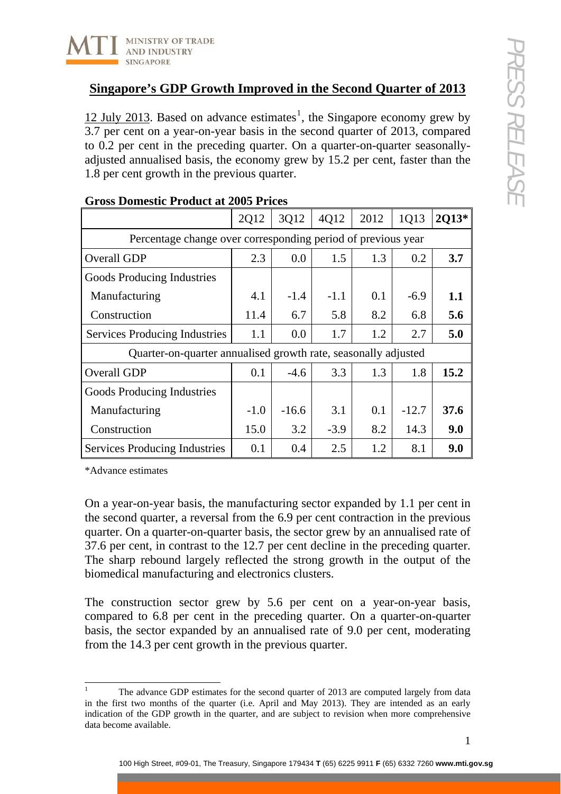

[1](#page-0-0)2 July 2013. Based on advance estimates<sup>1</sup>, the Singapore economy grew by 3.7 per cent on a year-on-year basis in the second quarter of 2013, compared to 0.2 per cent in the preceding quarter. On a quarter-on-quarter seasonallyadjusted annualised basis, the economy grew by 15.2 per cent, faster than the 1.8 per cent growth in the previous quarter.

|                                                                | 2Q12   | 3Q12    | 4Q12   | 2012 | 1Q13    | 2013* |
|----------------------------------------------------------------|--------|---------|--------|------|---------|-------|
| Percentage change over corresponding period of previous year   |        |         |        |      |         |       |
| Overall GDP                                                    | 2.3    | 0.0     | 1.5    | 1.3  | 0.2     | 3.7   |
| Goods Producing Industries                                     |        |         |        |      |         |       |
| Manufacturing                                                  | 4.1    | $-1.4$  | $-1.1$ | 0.1  | $-6.9$  | 1.1   |
| Construction                                                   | 11.4   | 6.7     | 5.8    | 8.2  | 6.8     | 5.6   |
| <b>Services Producing Industries</b>                           | 1.1    | 0.0     | 1.7    | 1.2  | 2.7     | 5.0   |
| Quarter-on-quarter annualised growth rate, seasonally adjusted |        |         |        |      |         |       |
| Overall GDP                                                    | 0.1    | $-4.6$  | 3.3    | 1.3  | 1.8     | 15.2  |
| Goods Producing Industries                                     |        |         |        |      |         |       |
| Manufacturing                                                  | $-1.0$ | $-16.6$ | 3.1    | 0.1  | $-12.7$ | 37.6  |
| Construction                                                   | 15.0   | 3.2     | $-3.9$ | 8.2  | 14.3    | 9.0   |
| Services Producing Industries                                  | 0.1    | 0.4     | 2.5    | 1.2  | 8.1     | 9.0   |

## **Gross Domestic Product at 2005 Prices**

\*Advance estimates

On a year-on-year basis, the manufacturing sector expanded by 1.1 per cent in the second quarter, a reversal from the 6.9 per cent contraction in the previous quarter. On a quarter-on-quarter basis, the sector grew by an annualised rate of 37.6 per cent, in contrast to the 12.7 per cent decline in the preceding quarter. The sharp rebound largely reflected the strong growth in the output of the biomedical manufacturing and electronics clusters.

The construction sector grew by 5.6 per cent on a year-on-year basis, compared to 6.8 per cent in the preceding quarter. On a quarter-on-quarter basis, the sector expanded by an annualised rate of 9.0 per cent, moderating from the 14.3 per cent growth in the previous quarter.

<span id="page-0-0"></span> $\frac{1}{1}$  The advance GDP estimates for the second quarter of 2013 are computed largely from data in the first two months of the quarter (i.e. April and May 2013). They are intended as an early indication of the GDP growth in the quarter, and are subject to revision when more comprehensive data become available.